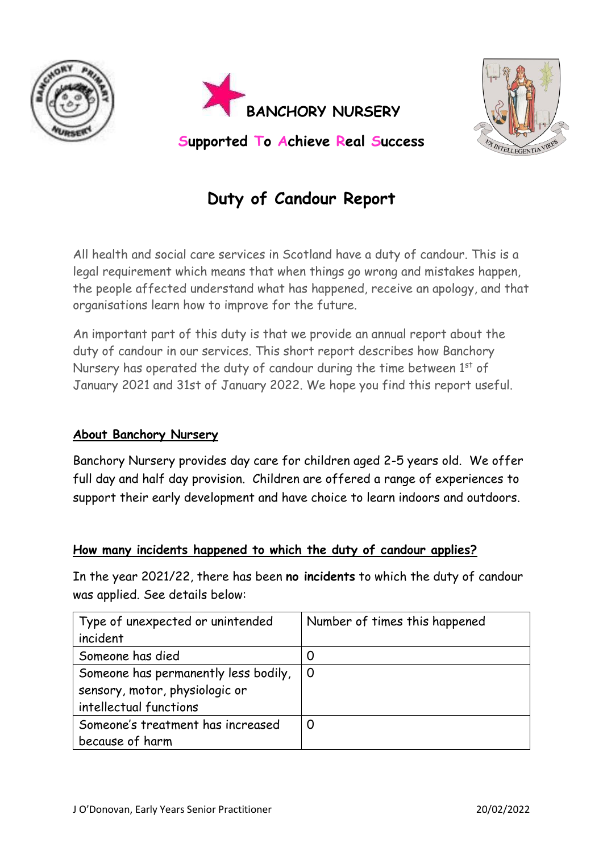





# **Duty of Candour Report**

All health and social care services in Scotland have a duty of candour. This is a legal requirement which means that when things go wrong and mistakes happen, the people affected understand what has happened, receive an apology, and that organisations learn how to improve for the future.

An important part of this duty is that we provide an annual report about the duty of candour in our services. This short report describes how Banchory Nursery has operated the duty of candour during the time between  $1<sup>st</sup>$  of January 2021 and 31st of January 2022. We hope you find this report useful.

## **About Banchory Nursery**

Banchory Nursery provides day care for children aged 2-5 years old. We offer full day and half day provision. Children are offered a range of experiences to support their early development and have choice to learn indoors and outdoors.

### **How many incidents happened to which the duty of candour applies?**

In the year 2021/22, there has been **no incidents** to which the duty of candour was applied. See details below:

| Type of unexpected or unintended     | Number of times this happened |
|--------------------------------------|-------------------------------|
| incident                             |                               |
| Someone has died                     | O                             |
| Someone has permanently less bodily, | $\Omega$                      |
| sensory, motor, physiologic or       |                               |
| intellectual functions               |                               |
| Someone's treatment has increased    |                               |
| because of harm                      |                               |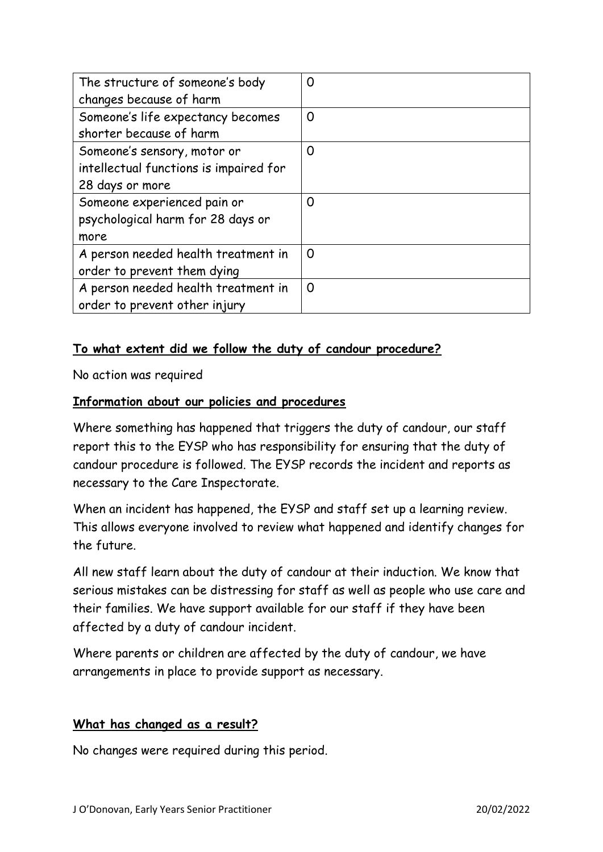| The structure of someone's body<br>changes because of harm                               | 0 |
|------------------------------------------------------------------------------------------|---|
| Someone's life expectancy becomes<br>shorter because of harm                             | 0 |
| Someone's sensory, motor or<br>intellectual functions is impaired for<br>28 days or more | 0 |
| Someone experienced pain or<br>psychological harm for 28 days or<br>more                 | 0 |
| A person needed health treatment in<br>order to prevent them dying                       | O |
| A person needed health treatment in<br>order to prevent other injury                     | 0 |

## **To what extent did we follow the duty of candour procedure?**

No action was required

### **Information about our policies and procedures**

Where something has happened that triggers the duty of candour, our staff report this to the EYSP who has responsibility for ensuring that the duty of candour procedure is followed. The EYSP records the incident and reports as necessary to the Care Inspectorate.

When an incident has happened, the EYSP and staff set up a learning review. This allows everyone involved to review what happened and identify changes for the future.

All new staff learn about the duty of candour at their induction. We know that serious mistakes can be distressing for staff as well as people who use care and their families. We have support available for our staff if they have been affected by a duty of candour incident.

Where parents or children are affected by the duty of candour, we have arrangements in place to provide support as necessary.

### **What has changed as a result?**

No changes were required during this period.